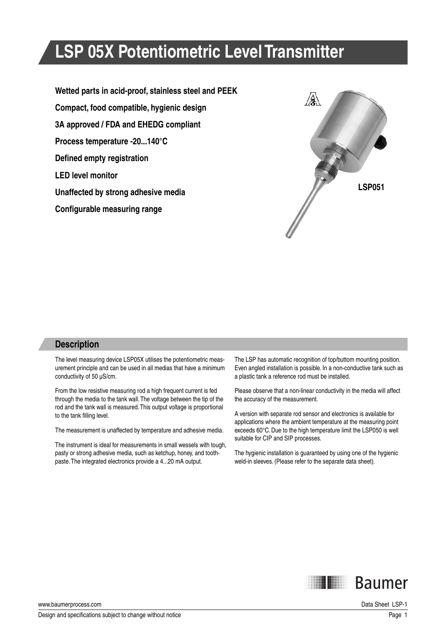# **LSP 05X Potentiometric Level Transmitter**

**Wetted parts in acid-proof, stainless steel and PEEK Compact, food compatible, hygienic design 3A approved / FDA and EHEDG compliant Process temperature -20...140°C Defined empty registration LED level monitor Unaffected by strong adhesive media Configurable measuring range** 



#### **Description**

The level measuring device LSP05X utilises the potentiometric measurement principle and can be used in all medias that have a minimum conductivity of 50 µS/cm.

From the low resistive measuring rod a high frequent current is fed through the media to the tank wall. The voltage between the tip of the rod and the tank wall is measured. This output voltage is proportional to the tank filling level.

The measurement is unaffected by temperature and adhesive media.

The instrument is ideal for measurements in small wessels with tough, pasty or strong adhesive media, such as ketchup, honey, and toothpaste. The integrated electronics provide a 4...20 mA output.

The LSP has automatic recognition of top/buttom mounting position. Even angled installation is possible. In a non-conductive tank such as a plastic tank a reference rod must be installed.

Please observe that a non-linear conductivity in the media will affect the accuracy of the measurement.

A version with separate rod sensor and electronics is available for applications where the ambient temperature at the measuring point exceeds 60°C. Due to the high temperature limit the LSP050 is well suitable for CIP and SIP processes.

The hygienic installation is guaranteed by using one of the hygienic weld-in sleeves. (Please refer to the separate data sheet).



www.baumerprocess.com Data Sheet LSP-1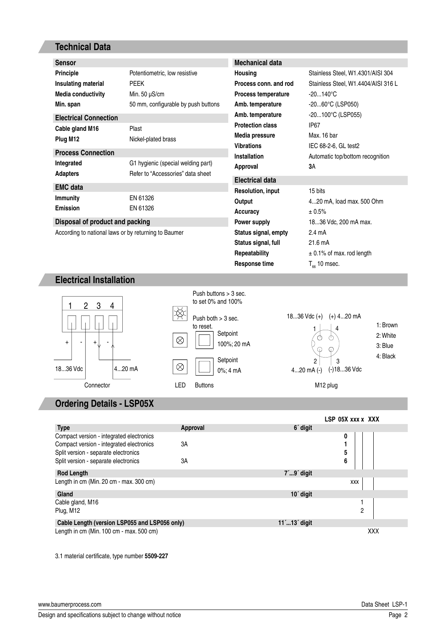## **Technical Data**

| <b>Sensor</b>                                        |                                     | <b>Mechanical data</b>     |                                     |
|------------------------------------------------------|-------------------------------------|----------------------------|-------------------------------------|
| <b>Principle</b>                                     | Potentiometric, low resistive       | Housing                    | Stainless Steel, W1.4301/AISI 304   |
| Insulating material                                  | <b>PEEK</b>                         | Process conn, and rod      | Stainless Steel, W1.4404/AISI 316 L |
| <b>Media conductivity</b>                            | Min. 50 $\mu$ S/cm                  | <b>Process temperature</b> | $-20140^{\circ}C$                   |
| Min. span                                            | 50 mm, configurable by push buttons | Amb. temperature           | -2060°C (LSP050)                    |
| <b>Electrical Connection</b>                         |                                     | Amb. temperature           | -20100°C (LSP055)                   |
| Cable gland M16                                      | Plast                               | <b>Protection class</b>    | IP <sub>67</sub>                    |
| Plug M12                                             | Nickel-plated brass                 | Media pressure             | Max. 16 bar                         |
|                                                      |                                     | <b>Vibrations</b>          | IEC 68-2-6, GL test2                |
| <b>Process Connection</b>                            |                                     | <b>Installation</b>        | Automatic top/bottom recognition    |
| Integrated                                           | G1 hygienic (special welding part)  | Approval                   | 3Α                                  |
| <b>Adapters</b>                                      | Refer to "Accessories" data sheet   | <b>Electrical data</b>     |                                     |
| <b>EMC</b> data                                      |                                     | <b>Resolution, input</b>   | 15 bits                             |
| <b>Immunity</b>                                      | EN 61326                            | Output                     | 420 mA, load max. 500 Ohm           |
| <b>Emission</b>                                      | EN 61326                            | Accuracy                   | ± 0.5%                              |
| Disposal of product and packing                      |                                     | Power supply               | 1836 Vdc, 200 mA max.               |
| According to national laws or by returning to Baumer |                                     | Status signal, empty       | $2.4 \text{ mA}$                    |
|                                                      |                                     | Status signal, full        | 21.6 mA                             |
|                                                      |                                     | Repeatability              | $\pm$ 0.1% of max. rod length       |
|                                                      |                                     | Response time              | $T_{\text{eq}}$ 10 msec.            |
|                                                      |                                     |                            |                                     |

#### **Electrical Installation**



## **Ordering Details - LSP05X**

|                                                 |                |                                  | LSP 05X xxx x XXX |
|-------------------------------------------------|----------------|----------------------------------|-------------------|
| <b>Type</b>                                     | Approval       | 6 <sup>'</sup> digit             |                   |
| Compact version - integrated electronics        |                |                                  | 0                 |
| Compact version - integrated electronics        | 3A             |                                  |                   |
| Split version - separate electronics            |                |                                  | 5                 |
| Split version - separate electronics            | 3A             |                                  | 6                 |
| <b>Rod Length</b>                               |                | $7^{\prime}$ 9 $^{\prime}$ digit |                   |
| Length in cm (Min. 20 cm - max. 300 cm)         |                |                                  | XXX               |
| Gland                                           |                | 10 <sup>'</sup> digit            |                   |
| Cable gland, M16                                |                |                                  |                   |
| Plug, M12                                       |                |                                  | $\overline{c}$    |
| Cable Length (version LSP055 and LSP056 only)   | $11'13'$ digit |                                  |                   |
| Length in $cm$ (Min. 100 $cm$ - max. 500 $cm$ ) |                |                                  | <b>XXX</b>        |

3.1 material certificate, type number 5509-227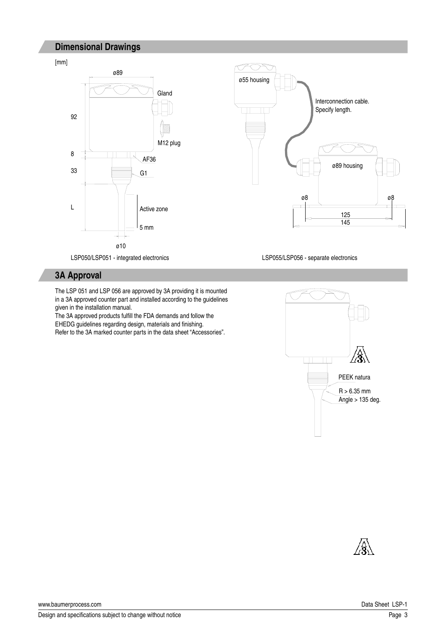### **Dimensional Drawings**







LSP050/LSP051 - integrated electronics LSP055/LSP056 - separate electronics

#### **3A Approval**

The LSP 051 and LSP 056 are approved by 3A providing it is mounted in a 3A approved counter part and installed according to the guidelines given in the installation manual.

The 3A approved products fulfill the FDA demands and follow the EHEDG guidelines regarding design, materials and finishing. Refer to the 3A marked counter parts in the data sheet "Accessories".